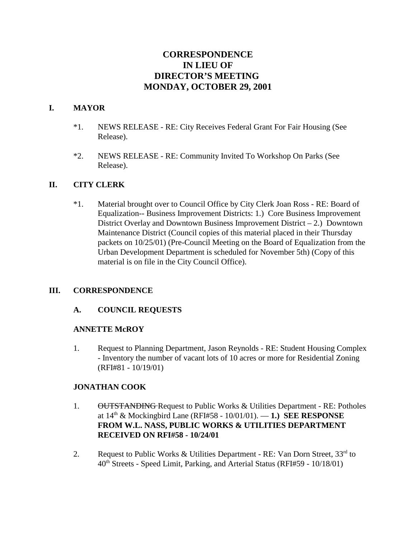# **CORRESPONDENCE IN LIEU OF DIRECTOR'S MEETING MONDAY, OCTOBER 29, 2001**

#### **I. MAYOR**

- \*1. NEWS RELEASE RE: City Receives Federal Grant For Fair Housing (See Release).
- \*2. NEWS RELEASE RE: Community Invited To Workshop On Parks (See Release).

#### **II. CITY CLERK**

\*1. Material brought over to Council Office by City Clerk Joan Ross - RE: Board of Equalization-- Business Improvement Districts: 1.) Core Business Improvement District Overlay and Downtown Business Improvement District – 2.) Downtown Maintenance District (Council copies of this material placed in their Thursday packets on 10/25/01) (Pre-Council Meeting on the Board of Equalization from the Urban Development Department is scheduled for November 5th) (Copy of this material is on file in the City Council Office).

### **III. CORRESPONDENCE**

### **A. COUNCIL REQUESTS**

#### **ANNETTE McROY**

1. Request to Planning Department, Jason Reynolds - RE: Student Housing Complex - Inventory the number of vacant lots of 10 acres or more for Residential Zoning (RFI#81 - 10/19/01)

#### **JONATHAN COOK**

- 1. OUTSTANDING Request to Public Works & Utilities Department RE: Potholes at 14th & Mockingbird Lane (RFI#58 - 10/01/01). — **1.) SEE RESPONSE FROM W.L. NASS, PUBLIC WORKS & UTILITIES DEPARTMENT RECEIVED ON RFI#58 - 10/24/01**
- 2. Request to Public Works & Utilities Department RE: Van Dorn Street, 33rd to 40th Streets - Speed Limit, Parking, and Arterial Status (RFI#59 - 10/18/01)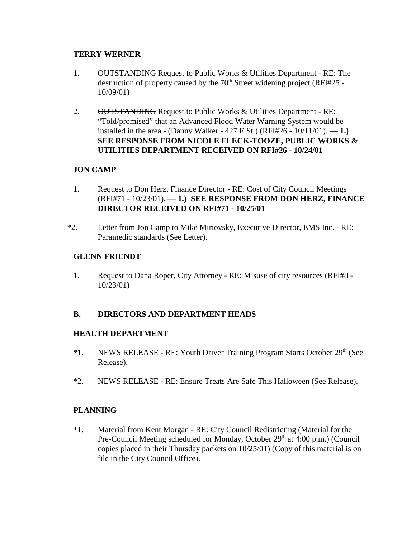### **TERRY WERNER**

- 1. OUTSTANDING Request to Public Works & Utilities Department RE: The destruction of property caused by the  $70<sup>th</sup>$  Street widening project (RFI#25 -10/09/01)
- 2. OUTSTANDING Request to Public Works & Utilities Department RE: "Told/promised" that an Advanced Flood Water Warning System would be installed in the area - (Danny Walker - 427 E St.) (RFI#26 - 10/11/01). — **1.) SEE RESPONSE FROM NICOLE FLECK-TOOZE, PUBLIC WORKS & UTILITIES DEPARTMENT RECEIVED ON RFI#26 - 10/24/01**

## **JON CAMP**

- 1. Request to Don Herz, Finance Director RE: Cost of City Council Meetings (RFI#71 - 10/23/01). — **1.) SEE RESPONSE FROM DON HERZ, FINANCE DIRECTOR RECEIVED ON RFI#71 - 10/25/01**
- \*2. Letter from Jon Camp to Mike Miriovsky, Executive Director, EMS Inc. RE: Paramedic standards (See Letter).

## **GLENN FRIENDT**

1. Request to Dana Roper, City Attorney - RE: Misuse of city resources (RFI#8 - 10/23/01)

## **B. DIRECTORS AND DEPARTMENT HEADS**

### **HEALTH DEPARTMENT**

- \*1. NEWS RELEASE RE: Youth Driver Training Program Starts October 29<sup>th</sup> (See Release).
- \*2. NEWS RELEASE RE: Ensure Treats Are Safe This Halloween (See Release).

## **PLANNING**

\*1. Material from Kent Morgan - RE: City Council Redistricting (Material for the Pre-Council Meeting scheduled for Monday, October 29<sup>th</sup> at 4:00 p.m.) (Council copies placed in their Thursday packets on 10/25/01) (Copy of this material is on file in the City Council Office).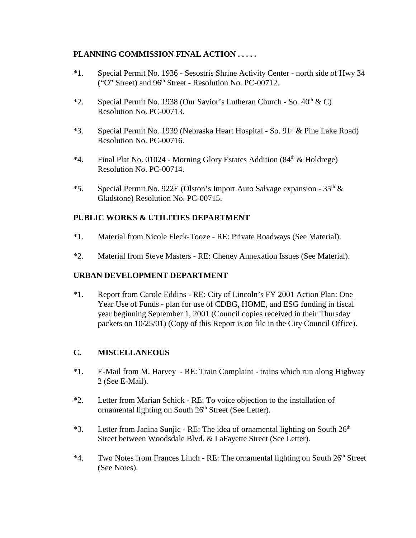### **PLANNING COMMISSION FINAL ACTION . . . . .**

- \*1. Special Permit No. 1936 Sesostris Shrine Activity Center north side of Hwy 34 ("O" Street) and 96th Street - Resolution No. PC-00712.
- \*2. Special Permit No. 1938 (Our Savior's Lutheran Church So.  $40^{th} \& C$ ) Resolution No. PC-00713.
- \*3. Special Permit No. 1939 (Nebraska Heart Hospital So. 91<sup>st</sup> & Pine Lake Road) Resolution No. PC-00716.
- \*4. Final Plat No. 01024 Morning Glory Estates Addition (84<sup>th</sup> & Holdrege) Resolution No. PC-00714.
- \*5. Special Permit No. 922E (Olston's Import Auto Salvage expansion  $35<sup>th</sup>$  & Gladstone) Resolution No. PC-00715.

### **PUBLIC WORKS & UTILITIES DEPARTMENT**

- \*1. Material from Nicole Fleck-Tooze RE: Private Roadways (See Material).
- \*2. Material from Steve Masters RE: Cheney Annexation Issues (See Material).

## **URBAN DEVELOPMENT DEPARTMENT**

\*1. Report from Carole Eddins - RE: City of Lincoln's FY 2001 Action Plan: One Year Use of Funds - plan for use of CDBG, HOME, and ESG funding in fiscal year beginning September 1, 2001 (Council copies received in their Thursday packets on 10/25/01) (Copy of this Report is on file in the City Council Office).

## **C. MISCELLANEOUS**

- \*1. E-Mail from M. Harvey RE: Train Complaint trains which run along Highway 2 (See E-Mail).
- \*2. Letter from Marian Schick RE: To voice objection to the installation of ornamental lighting on South 26<sup>th</sup> Street (See Letter).
- \*3. Letter from Janina Sunjic RE: The idea of ornamental lighting on South  $26<sup>th</sup>$ Street between Woodsdale Blvd. & LaFayette Street (See Letter).
- $*4$ . Two Notes from Frances Linch RE: The ornamental lighting on South 26<sup>th</sup> Street (See Notes).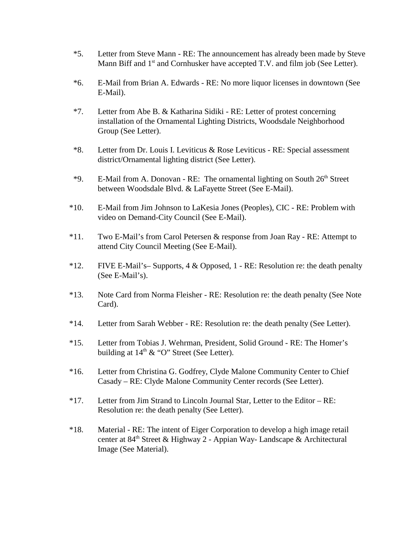- \*5. Letter from Steve Mann RE: The announcement has already been made by Steve Mann Biff and 1<sup>st</sup> and Cornhusker have accepted T.V. and film job (See Letter).
- \*6. E-Mail from Brian A. Edwards RE: No more liquor licenses in downtown (See E-Mail).
- \*7. Letter from Abe B. & Katharina Sidiki RE: Letter of protest concerning installation of the Ornamental Lighting Districts, Woodsdale Neighborhood Group (See Letter).
- \*8. Letter from Dr. Louis I. Leviticus & Rose Leviticus RE: Special assessment district/Ornamental lighting district (See Letter).
- \*9. E-Mail from A. Donovan RE: The ornamental lighting on South  $26<sup>th</sup>$  Street between Woodsdale Blvd. & LaFayette Street (See E-Mail).
- \*10. E-Mail from Jim Johnson to LaKesia Jones (Peoples), CIC RE: Problem with video on Demand-City Council (See E-Mail).
- \*11. Two E-Mail's from Carol Petersen & response from Joan Ray RE: Attempt to attend City Council Meeting (See E-Mail).
- \*12. FIVE E-Mail's– Supports, 4 & Opposed, 1 RE: Resolution re: the death penalty (See E-Mail's).
- \*13. Note Card from Norma Fleisher RE: Resolution re: the death penalty (See Note Card).
- \*14. Letter from Sarah Webber RE: Resolution re: the death penalty (See Letter).
- \*15. Letter from Tobias J. Wehrman, President, Solid Ground RE: The Homer's building at  $14<sup>th</sup> \& ^\circ$  "O" Street (See Letter).
- \*16. Letter from Christina G. Godfrey, Clyde Malone Community Center to Chief Casady – RE: Clyde Malone Community Center records (See Letter).
- \*17. Letter from Jim Strand to Lincoln Journal Star, Letter to the Editor RE: Resolution re: the death penalty (See Letter).
- \*18. Material RE: The intent of Eiger Corporation to develop a high image retail center at  $84<sup>th</sup>$  Street & Highway 2 - Appian Way- Landscape & Architectural Image (See Material).